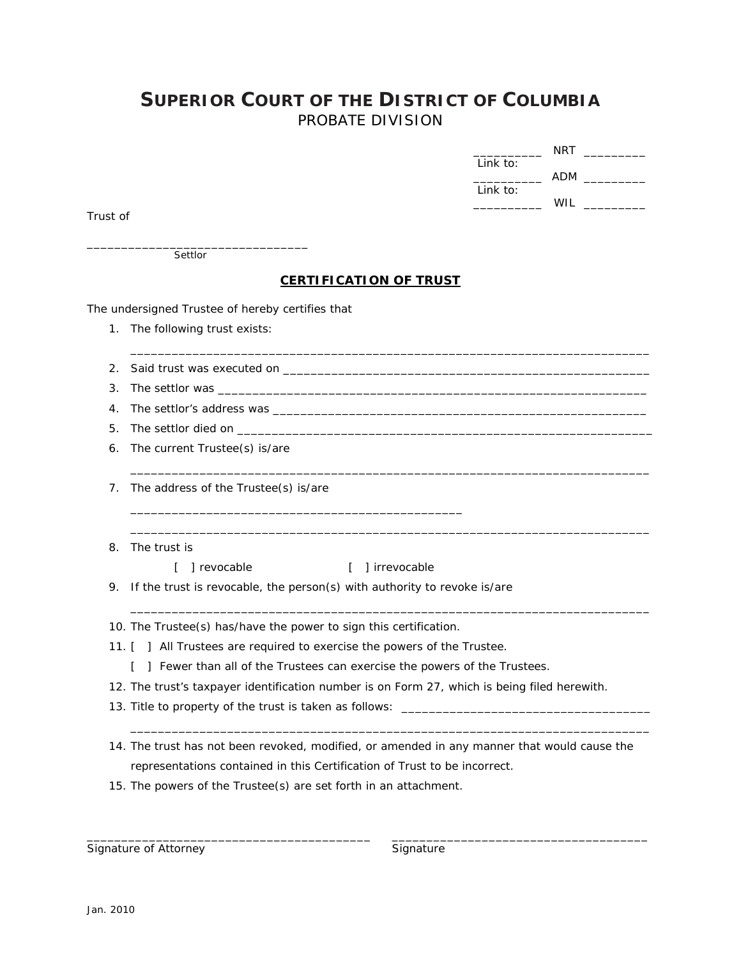## **SUPERIOR COURT OF THE DISTRICT OF COLUMBIA** PROBATE DIVISION

|          | NRT             |
|----------|-----------------|
| Link to: |                 |
|          | ADM             |
| Link to: |                 |
|          | W <sub>II</sub> |

Trust of

\_\_\_\_\_\_\_\_\_\_\_\_\_\_\_\_\_\_\_\_\_\_\_\_\_\_\_\_\_\_\_\_ Settlor

## **CERTIFICATION OF TRUST**

\_\_\_\_\_\_\_\_\_\_\_\_\_\_\_\_\_\_\_\_\_\_\_\_\_\_\_\_\_\_\_\_\_\_\_\_\_\_\_\_\_\_\_\_\_\_\_\_\_\_\_\_\_\_\_\_\_\_\_\_\_\_\_\_\_\_\_\_\_\_\_\_\_\_\_

\_\_\_\_\_\_\_\_\_\_\_\_\_\_\_\_\_\_\_\_\_\_\_\_\_\_\_\_\_\_\_\_\_\_\_\_\_\_\_\_\_\_\_\_\_\_\_\_\_\_\_\_\_\_\_\_\_\_\_\_\_\_\_\_\_\_\_\_\_\_\_\_\_\_\_

\_\_\_\_\_\_\_\_\_\_\_\_\_\_\_\_\_\_\_\_\_\_\_\_\_\_\_\_\_\_\_\_\_\_\_\_\_\_\_\_\_\_\_\_\_\_\_\_\_\_\_\_\_\_\_\_\_\_\_\_\_\_\_\_\_\_\_\_\_\_\_\_\_\_\_

\_\_\_\_\_\_\_\_\_\_\_\_\_\_\_\_\_\_\_\_\_\_\_\_\_\_\_\_\_\_\_\_\_\_\_\_\_\_\_\_\_\_\_\_\_\_\_\_\_\_\_\_\_\_\_\_\_\_\_\_\_\_\_\_\_\_\_\_\_\_\_\_\_\_\_

\_\_\_\_\_\_\_\_\_\_\_\_\_\_\_\_\_\_\_\_\_\_\_\_\_\_\_\_\_\_\_\_\_\_\_\_\_\_\_\_\_\_\_\_\_\_\_\_\_\_\_\_\_\_\_\_\_\_\_\_\_\_\_\_\_\_\_\_\_\_\_\_\_\_\_

The undersigned Trustee of hereby certifies that

1. The following trust exists:

2. Said trust was executed on \_\_\_\_\_\_\_\_\_\_\_\_\_\_\_\_\_\_\_\_\_\_\_\_\_\_\_\_\_\_\_\_\_\_\_\_\_\_\_\_\_\_\_\_\_\_\_\_\_\_\_\_\_

- 3. The settlor was
- 4. The settlor's address was \_\_\_\_\_\_\_\_\_\_\_\_\_\_\_\_\_\_\_\_\_\_\_\_\_\_\_\_\_\_\_\_\_\_\_\_\_\_\_\_\_\_\_\_\_\_\_\_\_\_\_\_\_\_
- 5. The settlor died on \_\_\_\_\_\_
- 6. The current Trustee(s) is/are
- 7. The address of the Trustee(s) is/are
- 8. The trust is

[ ] revocable [ ] irrevocable

9. If the trust is revocable, the person(s) with authority to revoke is/are

\_\_\_\_\_\_\_\_\_\_\_\_\_\_\_\_\_\_\_\_\_\_\_\_\_\_\_\_\_\_\_\_\_\_\_\_\_\_\_\_\_\_\_\_\_\_\_\_

10. The Trustee(s) has/have the power to sign this certification.

- 11. [ ] All Trustees are required to exercise the powers of the Trustee.
	- [ ] Fewer than all of the Trustees can exercise the powers of the Trustees.
- 12. The trust's taxpayer identification number is on Form 27, which is being filed herewith.
- 13. Title to property of the trust is taken as follows: \_\_\_\_
- 14. The trust has not been revoked, modified, or amended in any manner that would cause the representations contained in this Certification of Trust to be incorrect.

\_\_\_\_\_\_\_\_\_\_\_\_\_\_\_\_\_\_\_\_\_\_\_\_\_\_\_\_\_\_\_\_\_\_\_\_\_\_\_\_\_ \_\_\_\_\_\_\_\_\_\_\_\_\_\_\_\_\_\_\_\_\_\_\_\_\_\_\_\_\_\_\_\_\_\_\_\_\_

15. The powers of the Trustee(s) are set forth in an attachment.

Signature of Attorney **Signature** Signature